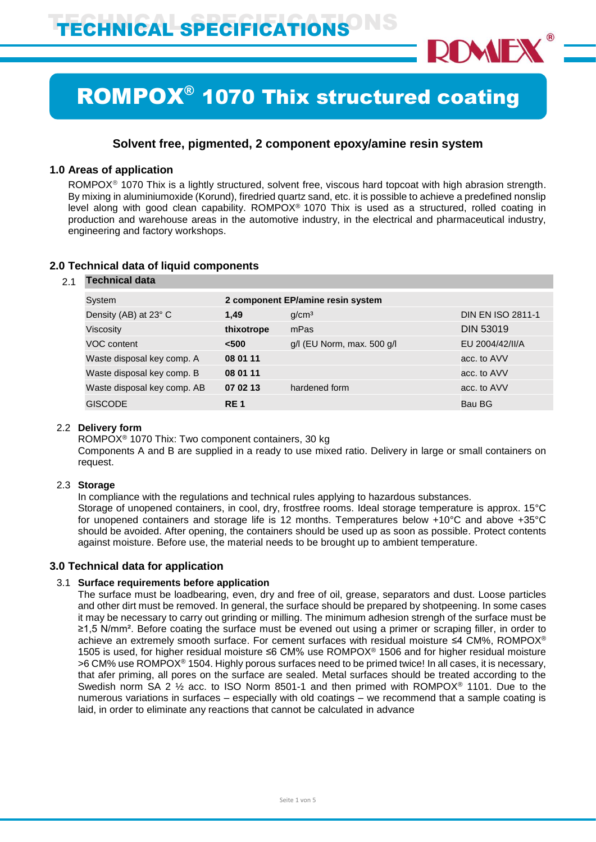

# ROMPOX® 1070 Thix structured coating

# **Solvent free, pigmented, 2 component epoxy/amine resin system**

## **1.0 Areas of application**

ROMPOX<sup>®</sup> 1070 Thix is a lightly structured, solvent free, viscous hard topcoat with high abrasion strength. By mixing in aluminiumoxide (Korund), firedried quartz sand, etc. it is possible to achieve a predefined nonslip level along with good clean capability. ROMPOX® 1070 Thix is used as a structured, rolled coating in production and warehouse areas in the automotive industry, in the electrical and pharmaceutical industry, engineering and factory workshops.

| 2.1 | <b>Technical data</b>       |            |                                   |                          |  |
|-----|-----------------------------|------------|-----------------------------------|--------------------------|--|
|     | System                      |            | 2 component EP/amine resin system |                          |  |
|     | Density (AB) at 23° C       | 1.49       | g/cm <sup>3</sup>                 | <b>DIN EN ISO 2811-1</b> |  |
|     | Viscosity                   | thixotrope | mPas                              | <b>DIN 53019</b>         |  |
|     | VOC content                 | < 500      | g/l (EU Norm, max. 500 g/l        | EU 2004/42/II/A          |  |
|     | Waste disposal key comp. A  | 08 01 11   |                                   | acc. to AVV              |  |
|     | Waste disposal key comp. B  | 08 01 11   |                                   | acc. to AVV              |  |
|     | Waste disposal key comp. AB | 07 02 13   | hardened form                     | acc. to AVV              |  |
|     | <b>GISCODE</b>              | <b>RE1</b> |                                   | Bau BG                   |  |
|     |                             |            |                                   |                          |  |

## **2.0 Technical data of liquid components**

# 2.2 **Delivery form**

ROMPOX® 1070 Thix: Two component containers, 30 kg

Components A and B are supplied in a ready to use mixed ratio. Delivery in large or small containers on request.

## 2.3 **Storage**

In compliance with the regulations and technical rules applying to hazardous substances. Storage of unopened containers, in cool, dry, frostfree rooms. Ideal storage temperature is approx. 15°C for unopened containers and storage life is 12 months. Temperatures below +10°C and above +35°C should be avoided. After opening, the containers should be used up as soon as possible. Protect contents against moisture. Before use, the material needs to be brought up to ambient temperature.

## **3.0 Technical data for application**

## 3.1 **Surface requirements before application**

The surface must be loadbearing, even, dry and free of oil, grease, separators and dust. Loose particles and other dirt must be removed. In general, the surface should be prepared by shotpeening. In some cases it may be necessary to carry out grinding or milling. The minimum adhesion strengh of the surface must be ≥1,5 N/mm². Before coating the surface must be evened out using a primer or scraping filler, in order to achieve an extremely smooth surface. For cement surfaces with residual moisture ≤4 CM%, ROMPOX® 1505 is used, for higher residual moisture ≤6 CM% use ROMPOX® 1506 and for higher residual moisture >6 CM% use ROMPOX® 1504. Highly porous surfaces need to be primed twice! In all cases, it is necessary, that afer priming, all pores on the surface are sealed. Metal surfaces should be treated according to the Swedish norm SA 2 ½ acc. to ISO Norm 8501-1 and then primed with ROMPOX® 1101. Due to the numerous variations in surfaces – especially with old coatings – we recommend that a sample coating is laid, in order to eliminate any reactions that cannot be calculated in advance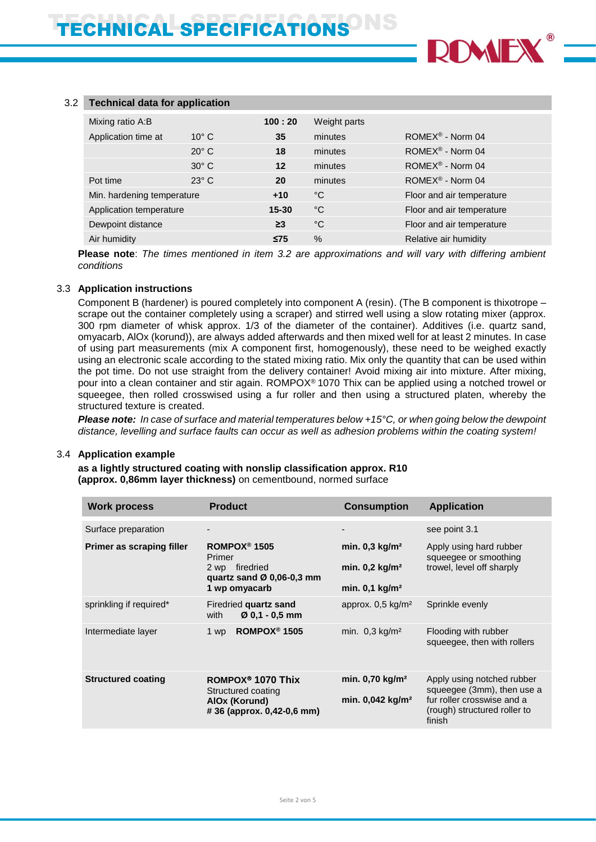

#### 3.2 **Technical data for application**

| Mixing ratio A:B           |                | 100:20    | Weight parts |                              |
|----------------------------|----------------|-----------|--------------|------------------------------|
| Application time at        | $10^{\circ}$ C | 35        | minutes      | ROMEX <sup>®</sup> - Norm 04 |
|                            | $20^\circ$ C   | 18        | minutes      | ROMEX <sup>®</sup> - Norm 04 |
|                            | $30^\circ$ C   | 12        | minutes      | ROMEX <sup>®</sup> - Norm 04 |
| Pot time                   | $23^\circ$ C   | 20        | minutes      | ROMEX <sup>®</sup> - Norm 04 |
| Min. hardening temperature |                | $+10$     | °C           | Floor and air temperature    |
| Application temperature    |                | $15 - 30$ | $^{\circ}$ C | Floor and air temperature    |
| Dewpoint distance          |                | $\geq$ 3  | $^{\circ}$ C | Floor and air temperature    |
| Air humidity               |                | $\leq$ 75 | $\%$         | Relative air humidity        |

**Please note**: *The times mentioned in item 3.2 are approximations and will vary with differing ambient conditions*

#### 3.3 **Application instructions**

Component B (hardener) is poured completely into component A (resin). (The B component is thixotrope – scrape out the container completely using a scraper) and stirred well using a slow rotating mixer (approx. 300 rpm diameter of whisk approx. 1/3 of the diameter of the container). Additives (i.e. quartz sand, omyacarb, AlOx (korund)), are always added afterwards and then mixed well for at least 2 minutes. In case of using part measurements (mix A component first, homogenously), these need to be weighed exactly using an electronic scale according to the stated mixing ratio. Mix only the quantity that can be used within the pot time. Do not use straight from the delivery container! Avoid mixing air into mixture. After mixing, pour into a clean container and stir again. ROMPOX® 1070 Thix can be applied using a notched trowel or squeegee, then rolled crosswised using a fur roller and then using a structured platen, whereby the structured texture is created.

*Please note: In case of surface and material temperatures below +15°C, or when going below the dewpoint distance, levelling and surface faults can occur as well as adhesion problems within the coating system!*

#### 3.4 **Application example**

**as a lightly structured coating with nonslip classification approx. R10 (approx. 0,86mm layer thickness)** on cementbound, normed surface

| Work process              | <b>Product</b>                                                                                                 | <b>Consumption</b>                                                                        | <b>Application</b>                                                                                                               |
|---------------------------|----------------------------------------------------------------------------------------------------------------|-------------------------------------------------------------------------------------------|----------------------------------------------------------------------------------------------------------------------------------|
| Surface preparation       |                                                                                                                |                                                                                           | see point 3.1                                                                                                                    |
| Primer as scraping filler | ROMPOX <sup>®</sup> 1505<br>Primer<br>2 wp firedried<br>quartz sand $\varnothing$ 0.06-0.3 mm<br>1 wp omyacarb | min. $0,3$ kg/m <sup>2</sup><br>min. $0,2$ kg/m <sup>2</sup><br>min. $0.1 \text{ kg/m}^2$ | Apply using hard rubber<br>squeeqee or smoothing<br>trowel, level off sharply                                                    |
| sprinkling if required*   | Firedried quartz sand<br>$Ø$ 0.1 - 0.5 mm<br>with                                                              | approx. $0.5 \text{ kg/m}^2$                                                              | Sprinkle evenly                                                                                                                  |
| Intermediate layer        | ROMPOX <sup>®</sup> 1505<br>1 wp                                                                               | min. $0.3 \text{ kg/m}^2$                                                                 | Flooding with rubber<br>squeegee, then with rollers                                                                              |
| <b>Structured coating</b> | ROMPOX <sup>®</sup> 1070 Thix<br>Structured coating<br>AIOx (Korund)<br>#36 (approx. 0,42-0,6 mm)              | min. 0,70 kg/m <sup>2</sup><br>min. $0.042 \text{ kg/m}^2$                                | Apply using notched rubber<br>squeegee (3mm), then use a<br>fur roller crosswise and a<br>(rough) structured roller to<br>finish |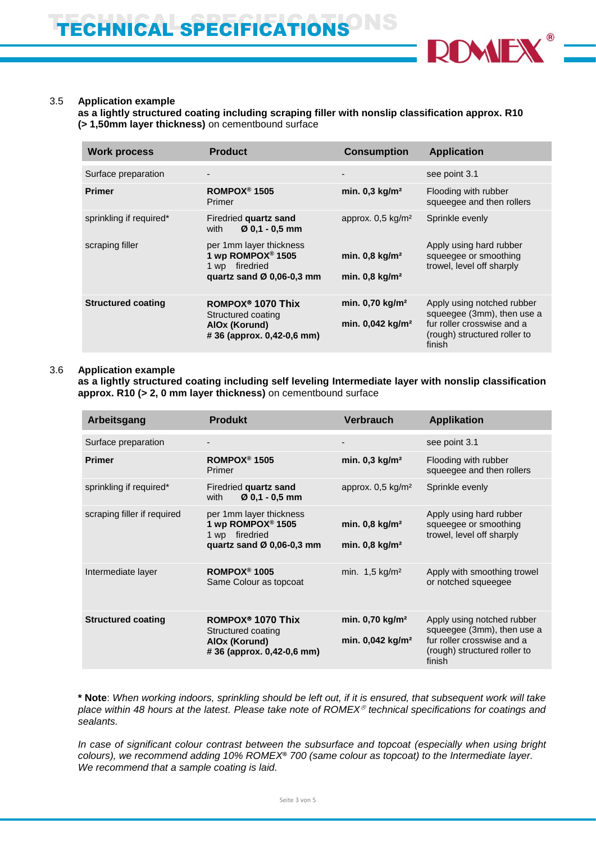

#### 3.5 **Application example**

**as a lightly structured coating including scraping filler with nonslip classification approx. R10 (> 1,50mm layer thickness)** on cementbound surface

| <b>Work process</b>       | <b>Product</b>                                                                                             | <b>Consumption</b>                                           | <b>Application</b>                                                                                                               |
|---------------------------|------------------------------------------------------------------------------------------------------------|--------------------------------------------------------------|----------------------------------------------------------------------------------------------------------------------------------|
| Surface preparation       | -                                                                                                          | $\overline{\phantom{a}}$                                     | see point 3.1                                                                                                                    |
| <b>Primer</b>             | ROMPOX <sup>®</sup> 1505<br>Primer                                                                         | min. $0,3$ kg/m <sup>2</sup>                                 | Flooding with rubber<br>squeegee and then rollers                                                                                |
| sprinkling if required*   | Firedried quartz sand<br>$Ø$ 0.1 - 0.5 mm<br>with                                                          | approx. $0.5 \text{ kg/m}^2$                                 | Sprinkle evenly                                                                                                                  |
| scraping filler           | per 1mm layer thickness<br>1 wp ROMPOX <sup>®</sup> 1505<br>firedried<br>1 wp<br>quartz sand Ø 0,06-0,3 mm | min. $0,8$ kg/m <sup>2</sup><br>min. $0.8$ kg/m <sup>2</sup> | Apply using hard rubber<br>squeegee or smoothing<br>trowel, level off sharply                                                    |
| <b>Structured coating</b> | ROMPOX <sup>®</sup> 1070 Thix<br>Structured coating<br>AIOx (Korund)<br>#36 (approx. 0.42-0.6 mm)          | min. 0,70 kg/m <sup>2</sup><br>min. 0,042 kg/m <sup>2</sup>  | Apply using notched rubber<br>squeegee (3mm), then use a<br>fur roller crosswise and a<br>(rough) structured roller to<br>finish |

#### 3.6 **Application example**

**as a lightly structured coating including self leveling Intermediate layer with nonslip classification approx. R10 (> 2, 0 mm layer thickness)** on cementbound surface

| <b>Arbeitsgang</b>          | <b>Produkt</b>                                                                                                         | <b>Verbrauch</b>                                              | <b>Applikation</b>                                                                                                               |
|-----------------------------|------------------------------------------------------------------------------------------------------------------------|---------------------------------------------------------------|----------------------------------------------------------------------------------------------------------------------------------|
| Surface preparation         | -                                                                                                                      |                                                               | see point 3.1                                                                                                                    |
| <b>Primer</b>               | ROMPOX <sup>®</sup> 1505<br>Primer                                                                                     | min. $0,3$ kg/m <sup>2</sup>                                  | Flooding with rubber<br>squeegee and then rollers                                                                                |
| sprinkling if required*     | Firedried quartz sand<br>$\varnothing$ 0.1 - 0.5 mm<br>with                                                            | approx. 0,5 kg/m <sup>2</sup>                                 | Sprinkle evenly                                                                                                                  |
| scraping filler if required | per 1mm layer thickness<br>1 wp ROMPOX <sup>®</sup> 1505<br>firedried<br>1 wp<br>quartz sand $\varnothing$ 0,06-0,3 mm | min. $0,8$ kg/m <sup>2</sup><br>min. $0,8 \text{ kg/m}^2$     | Apply using hard rubber<br>squeegee or smoothing<br>trowel, level off sharply                                                    |
| Intermediate layer          | ROMPOX <sup>®</sup> 1005<br>Same Colour as topcoat                                                                     | min. $1,5$ kg/m <sup>2</sup>                                  | Apply with smoothing trowel<br>or notched squeegee                                                                               |
| <b>Structured coating</b>   | ROMPOX <sup>®</sup> 1070 Thix<br>Structured coating<br>AIOx (Korund)<br>#36 (approx. 0,42-0,6 mm)                      | min. $0.70$ kg/m <sup>2</sup><br>min. 0,042 kg/m <sup>2</sup> | Apply using notched rubber<br>squeegee (3mm), then use a<br>fur roller crosswise and a<br>(rough) structured roller to<br>finish |

**\* Note**: *When working indoors, sprinkling should be left out, if it is ensured, that subsequent work will take place within 48 hours at the latest. Please take note of ROMEX technical specifications for coatings and sealants.* 

*In case of significant colour contrast between the subsurface and topcoat (especially when using bright colours), we recommend adding 10% ROMEX***®** *700 (same colour as topcoat) to the Intermediate layer. We recommend that a sample coating is laid.*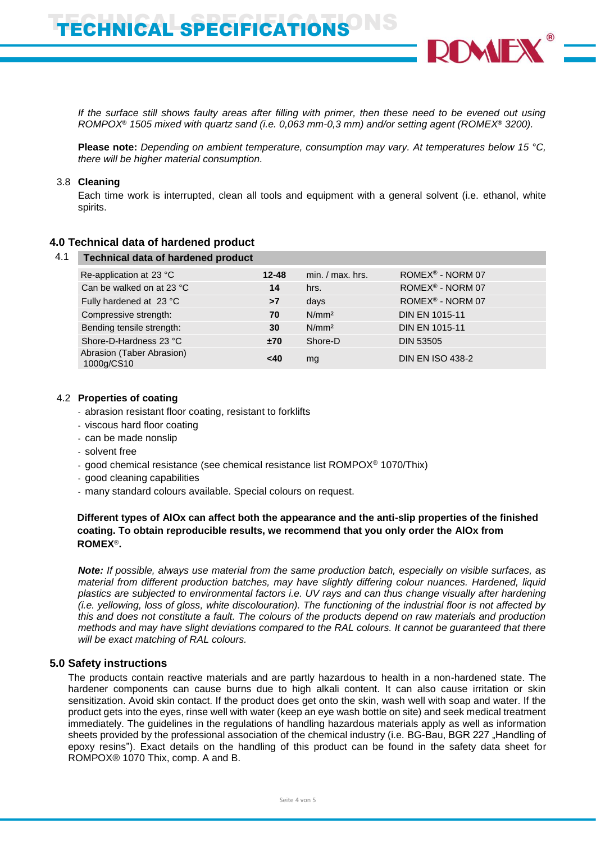*If the surface still shows faulty areas after filling with primer, then these need to be evened out using ROMPOX***®** *1505 mixed with quartz sand (i.e. 0,063 mm-0,3 mm) and/or setting agent (ROMEX***®** *3200).*

**Please note:** *Depending on ambient temperature, consumption may vary. At temperatures below 15 °C, there will be higher material consumption.*

#### 3.8 **Cleaning**

Each time work is interrupted, clean all tools and equipment with a general solvent (i.e. ethanol, white spirits.

#### **4.0 Technical data of hardened product**

|  | 4.1 Technical data of hardened product |  |  |
|--|----------------------------------------|--|--|
|--|----------------------------------------|--|--|

| Re-application at 23 °C                 | $12 - 48$ | $min. / max.$ hrs. | ROMEX <sup>®</sup> - NORM 07 |  |
|-----------------------------------------|-----------|--------------------|------------------------------|--|
| Can be walked on at 23 °C               | 14        | hrs.               | ROMEX <sup>®</sup> - NORM 07 |  |
| Fully hardened at 23 °C                 | >7        | days               | ROMEX® - NORM 07             |  |
| Compressive strength:                   | 70        | N/mm <sup>2</sup>  | <b>DIN EN 1015-11</b>        |  |
| Bending tensile strength:               | 30        | N/mm <sup>2</sup>  | <b>DIN EN 1015-11</b>        |  |
| Shore-D-Hardness 23 °C                  | ±70       | Shore-D            | <b>DIN 53505</b>             |  |
| Abrasion (Taber Abrasion)<br>1000g/CS10 | <40       | mg                 | <b>DIN EN ISO 438-2</b>      |  |

#### 4.2 **Properties of coating**

- abrasion resistant floor coating, resistant to forklifts
- viscous hard floor coating
- can be made nonslip
- solvent free
- good chemical resistance (see chemical resistance list ROMPOX® 1070/Thix)
- good cleaning capabilities
- many standard colours available. Special colours on request.

#### **Different types of AlOx can affect both the appearance and the anti-slip properties of the finished coating. To obtain reproducible results, we recommend that you only order the AlOx from ROMEX**®**.**

*Note: If possible, always use material from the same production batch, especially on visible surfaces, as material from different production batches, may have slightly differing colour nuances. Hardened, liquid plastics are subjected to environmental factors i.e. UV rays and can thus change visually after hardening (i.e. yellowing, loss of gloss, white discolouration). The functioning of the industrial floor is not affected by this and does not constitute a fault. The colours of the products depend on raw materials and production methods and may have slight deviations compared to the RAL colours. It cannot be guaranteed that there will be exact matching of RAL colours.*

## **5.0 Safety instructions**

The products contain reactive materials and are partly hazardous to health in a non-hardened state. The hardener components can cause burns due to high alkali content. It can also cause irritation or skin sensitization. Avoid skin contact. If the product does get onto the skin, wash well with soap and water. If the product gets into the eyes, rinse well with water (keep an eye wash bottle on site) and seek medical treatment immediately. The guidelines in the regulations of handling hazardous materials apply as well as information sheets provided by the professional association of the chemical industry (i.e. BG-Bau, BGR 227 "Handling of epoxy resins"). Exact details on the handling of this product can be found in the safety data sheet for ROMPOX® 1070 Thix, comp. A and B.